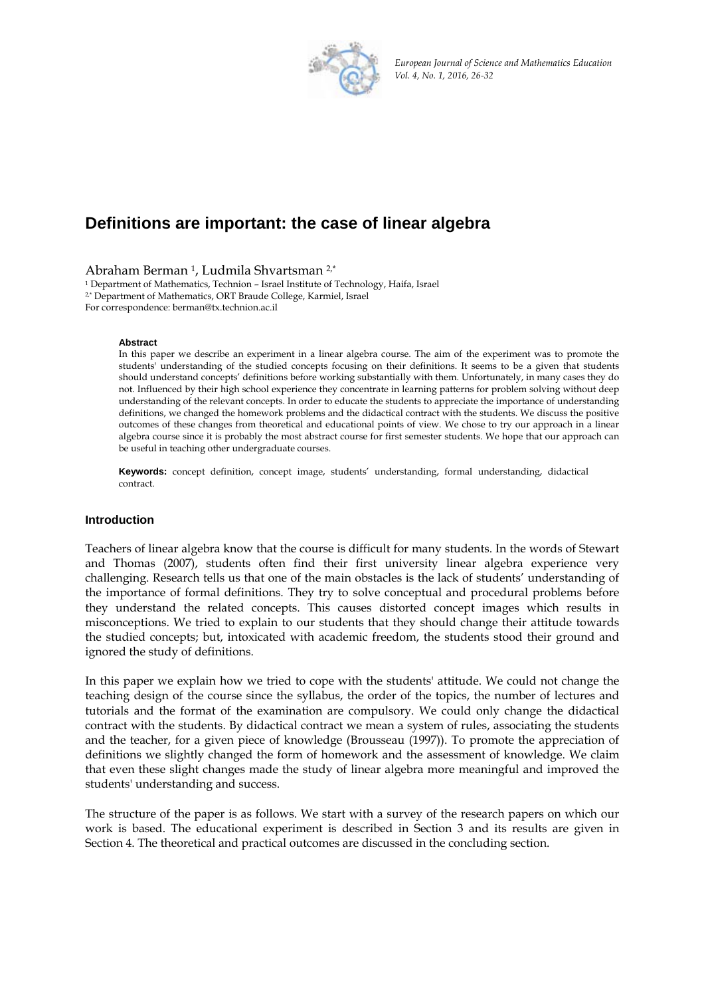

*European Journal of Science and Mathematics Education Vol. 4, No. 1, 2016, 26‐32*

# **Definitions are important: the case of linear algebra**

Abraham Berman <sup>1</sup>, Ludmila Shvartsman <sup>2,\*</sup><br><sup>1</sup> Department of Mathematics, Technion – Israel Institute of Technology, Haifa, Israel  $2$ <sup>\*</sup> Department of Mathematics, ORT Braude College, Karmiel, Israel For correspondence: berman@tx.technion.ac.il

#### **Abstract**

In this paper we describe an experiment in a linear algebra course. The aim of the experiment was to promote the students' understanding of the studied concepts focusing on their definitions. It seems to be a given that students should understand concepts' definitions before working substantially with them. Unfortunately, in many cases they do not. Influenced by their high school experience they concentrate in learning patterns for problem solving without deep understanding of the relevant concepts. In order to educate the students to appreciate the importance of understanding definitions, we changed the homework problems and the didactical contract with the students. We discuss the positive outcomes of these changes from theoretical and educational points of view. We chose to try our approach in a linear algebra course since it is probably the most abstract course for first semester students. We hope that our approach can be useful in teaching other undergraduate courses.

**Keywords:** concept definition, concept image, students' understanding, formal understanding, didactical contract.

#### **Introduction**

Teachers of linear algebra know that the course is difficult for many students. In the words of Stewart and Thomas (2007), students often find their first university linear algebra experience very challenging. Research tells us that one of the main obstacles is the lack of students' understanding of the importance of formal definitions. They try to solve conceptual and procedural problems before they understand the related concepts. This causes distorted concept images which results in misconceptions. We tried to explain to our students that they should change their attitude towards the studied concepts; but, intoxicated with academic freedom, the students stood their ground and ignored the study of definitions.

In this paper we explain how we tried to cope with the students' attitude. We could not change the teaching design of the course since the syllabus, the order of the topics, the number of lectures and tutorials and the format of the examination are compulsory. We could only change the didactical contract with the students. By didactical contract we mean a system of rules, associating the students and the teacher, for a given piece of knowledge (Brousseau (1997)). To promote the appreciation of definitions we slightly changed the form of homework and the assessment of knowledge. We claim that even these slight changes made the study of linear algebra more meaningful and improved the students' understanding and success.

The structure of the paper is as follows. We start with a survey of the research papers on which our work is based. The educational experiment is described in Section 3 and its results are given in Section 4. The theoretical and practical outcomes are discussed in the concluding section.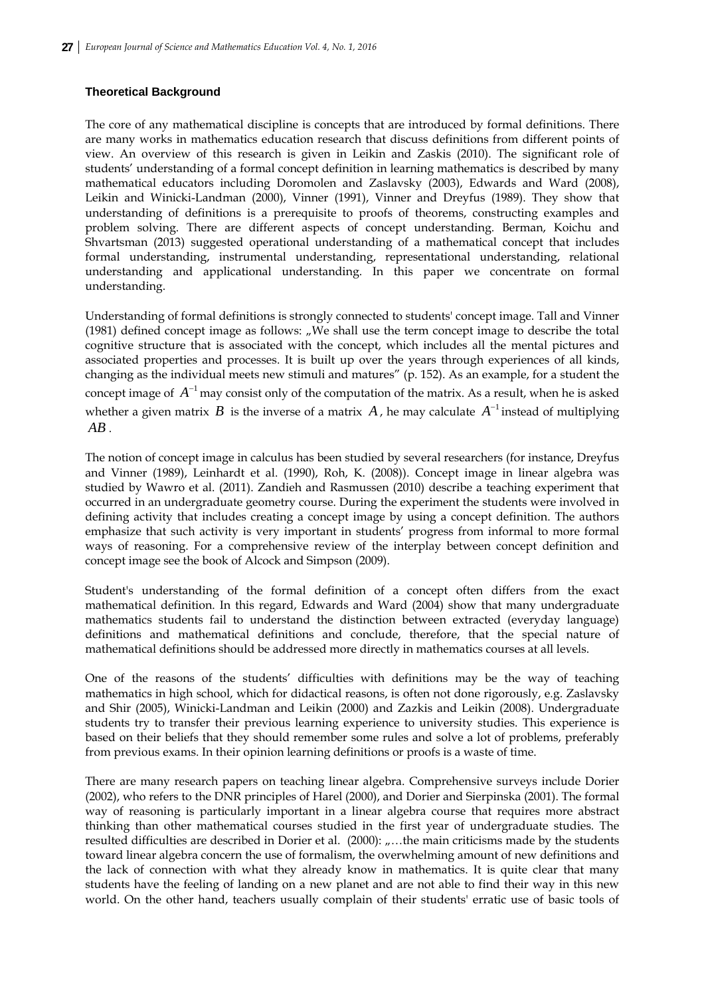### **Theoretical Background**

The core of any mathematical discipline is concepts that are introduced by formal definitions. There are many works in mathematics education research that discuss definitions from different points of view. An overview of this research is given in Leikin and Zaskis (2010). The significant role of students' understanding of a formal concept definition in learning mathematics is described by many mathematical educators including Doromolen and Zaslavsky (2003), Edwards and Ward (2008), Leikin and Winicki-Landman (2000), Vinner (1991), Vinner and Dreyfus (1989). They show that understanding of definitions is a prerequisite to proofs of theorems, constructing examples and problem solving. There are different aspects of concept understanding. Berman, Koichu and Shvartsman (2013) suggested operational understanding of a mathematical concept that includes formal understanding, instrumental understanding, representational understanding, relational understanding and applicational understanding. In this paper we concentrate on formal understanding.

Understanding of formal definitions is strongly connected to students' concept image. Tall and Vinner (1981) defined concept image as follows: "We shall use the term concept image to describe the total cognitive structure that is associated with the concept, which includes all the mental pictures and associated properties and processes. It is built up over the years through experiences of all kinds, changing as the individual meets new stimuli and matures" (p. 152). As an example, for a student the concept image of  $A^{-1}$  may consist only of the computation of the matrix. As a result, when he is asked whether a given matrix *B* is the inverse of a matrix *A*, he may calculate  $A^{-1}$  instead of multiplying *AB* .

The notion of concept image in calculus has been studied by several researchers (for instance, Dreyfus and Vinner (1989), Leinhardt et al. (1990), Roh, K. (2008)). Concept image in linear algebra was studied by Wawro et al. (2011). Zandieh and Rasmussen (2010) describe a teaching experiment that occurred in an undergraduate geometry course. During the experiment the students were involved in defining activity that includes creating a concept image by using a concept definition. The authors emphasize that such activity is very important in students' progress from informal to more formal ways of reasoning. For a comprehensive review of the interplay between concept definition and concept image see the book of Alcock and Simpson (2009).

Student's understanding of the formal definition of a concept often differs from the exact mathematical definition. In this regard, Edwards and Ward (2004) show that many undergraduate mathematics students fail to understand the distinction between extracted (everyday language) definitions and mathematical definitions and conclude, therefore, that the special nature of mathematical definitions should be addressed more directly in mathematics courses at all levels.

One of the reasons of the students' difficulties with definitions may be the way of teaching mathematics in high school, which for didactical reasons, is often not done rigorously, e.g. Zaslavsky and Shir (2005), Winicki-Landman and Leikin (2000) and Zazkis and Leikin (2008). Undergraduate students try to transfer their previous learning experience to university studies. This experience is based on their beliefs that they should remember some rules and solve a lot of problems, preferably from previous exams. In their opinion learning definitions or proofs is a waste of time.

There are many research papers on teaching linear algebra. Comprehensive surveys include Dorier (2002), who refers to the DNR principles of Harel (2000), and Dorier and Sierpinska (2001). The formal way of reasoning is particularly important in a linear algebra course that requires more abstract thinking than other mathematical courses studied in the first year of undergraduate studies. The resulted difficulties are described in Dorier et al. (2000):  $, ...$  the main criticisms made by the students toward linear algebra concern the use of formalism, the overwhelming amount of new definitions and the lack of connection with what they already know in mathematics. It is quite clear that many students have the feeling of landing on a new planet and are not able to find their way in this new world. On the other hand, teachers usually complain of their students' erratic use of basic tools of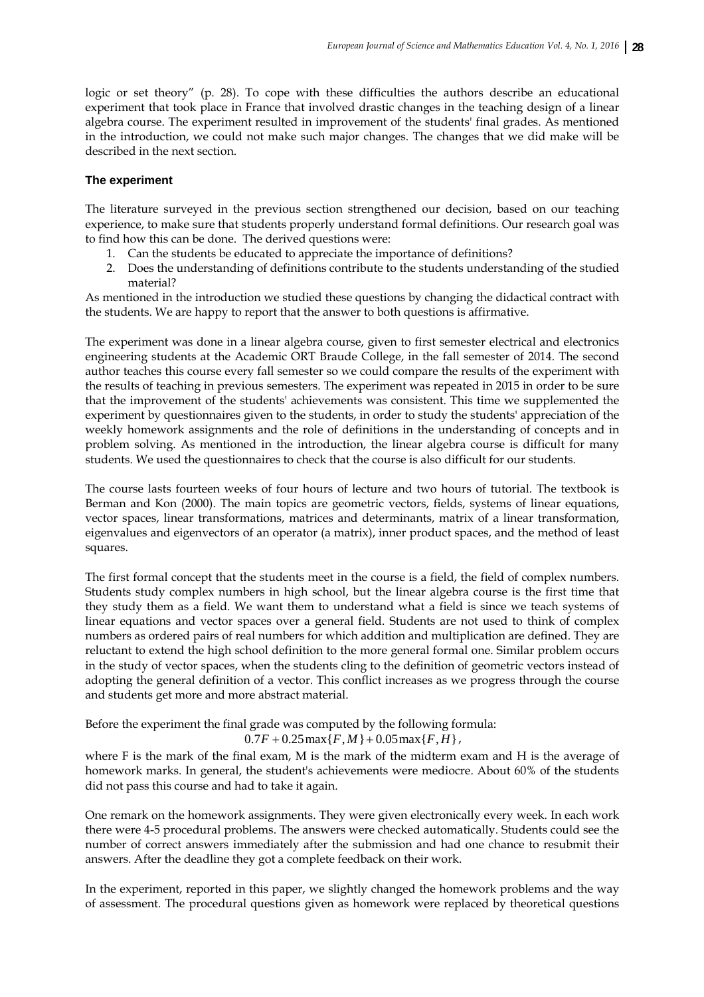logic or set theory" (p. 28). To cope with these difficulties the authors describe an educational experiment that took place in France that involved drastic changes in the teaching design of a linear algebra course. The experiment resulted in improvement of the students' final grades. As mentioned in the introduction, we could not make such major changes. The changes that we did make will be described in the next section.

#### **The experiment**

The literature surveyed in the previous section strengthened our decision, based on our teaching experience, to make sure that students properly understand formal definitions. Our research goal was to find how this can be done. The derived questions were:

- 1. Can the students be educated to appreciate the importance of definitions?
- 2. Does the understanding of definitions contribute to the students understanding of the studied material?

As mentioned in the introduction we studied these questions by changing the didactical contract with the students. We are happy to report that the answer to both questions is affirmative.

The experiment was done in a linear algebra course, given to first semester electrical and electronics engineering students at the Academic ORT Braude College, in the fall semester of 2014. The second author teaches this course every fall semester so we could compare the results of the experiment with the results of teaching in previous semesters. The experiment was repeated in 2015 in order to be sure that the improvement of the students' achievements was consistent. This time we supplemented the experiment by questionnaires given to the students, in order to study the students' appreciation of the weekly homework assignments and the role of definitions in the understanding of concepts and in problem solving. As mentioned in the introduction, the linear algebra course is difficult for many students. We used the questionnaires to check that the course is also difficult for our students.

The course lasts fourteen weeks of four hours of lecture and two hours of tutorial. The textbook is Berman and Kon (2000). The main topics are geometric vectors, fields, systems of linear equations, vector spaces, linear transformations, matrices and determinants, matrix of a linear transformation, eigenvalues and eigenvectors of an operator (a matrix), inner product spaces, and the method of least squares.

The first formal concept that the students meet in the course is a field, the field of complex numbers. Students study complex numbers in high school, but the linear algebra course is the first time that they study them as a field. We want them to understand what a field is since we teach systems of linear equations and vector spaces over a general field. Students are not used to think of complex numbers as ordered pairs of real numbers for which addition and multiplication are defined. They are reluctant to extend the high school definition to the more general formal one. Similar problem occurs in the study of vector spaces, when the students cling to the definition of geometric vectors instead of adopting the general definition of a vector. This conflict increases as we progress through the course and students get more and more abstract material.

Before the experiment the final grade was computed by the following formula:

 $0.7 F + 0.25 \max\{F, M\} + 0.05 \max\{F, H\},$ 

where F is the mark of the final exam, M is the mark of the midterm exam and H is the average of homework marks. In general, the student's achievements were mediocre. About 60% of the students did not pass this course and had to take it again.

One remark on the homework assignments. They were given electronically every week. In each work there were 4-5 procedural problems. The answers were checked automatically. Students could see the number of correct answers immediately after the submission and had one chance to resubmit their answers. After the deadline they got a complete feedback on their work.

In the experiment, reported in this paper, we slightly changed the homework problems and the way of assessment. The procedural questions given as homework were replaced by theoretical questions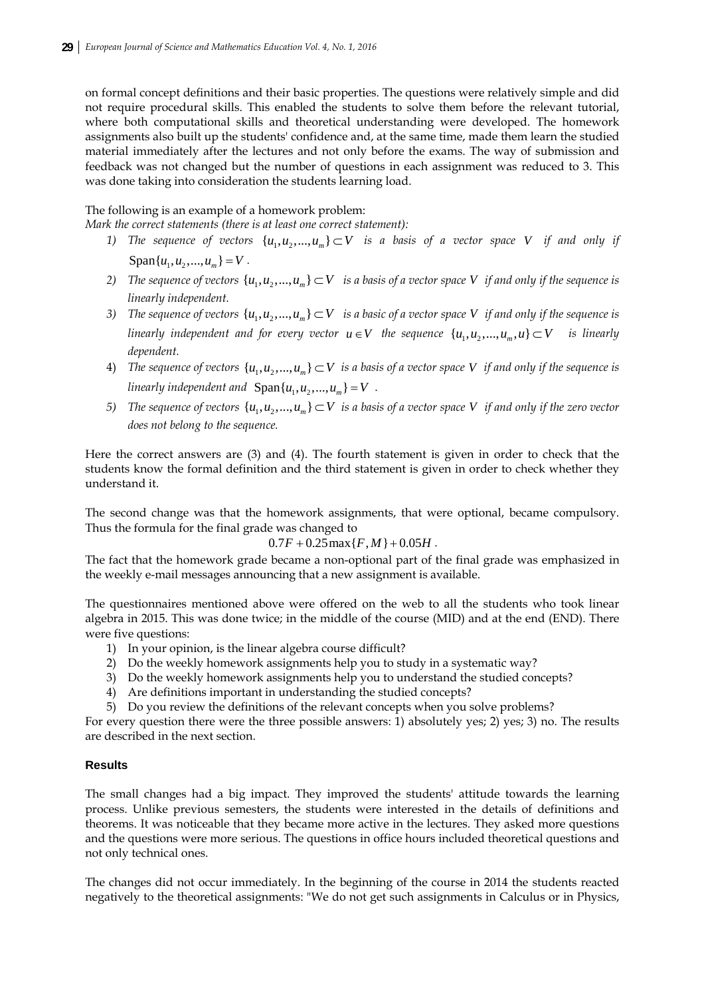on formal concept definitions and their basic properties. The questions were relatively simple and did not require procedural skills. This enabled the students to solve them before the relevant tutorial, where both computational skills and theoretical understanding were developed. The homework assignments also built up the students' confidence and, at the same time, made them learn the studied material immediately after the lectures and not only before the exams. The way of submission and feedback was not changed but the number of questions in each assignment was reduced to 3. This was done taking into consideration the students learning load.

## The following is an example of a homework problem:

*Mark the correct statements (there is at least one correct statement):* 

- *1) The sequence of vectors*  $\{u_1, u_2, ..., u_m\} \subset V$  *is a basis of a vector space V if and only if*  $Span\{u_1, u_2, ..., u_m\} = V$ .
- *2) The sequence of vectors*  $\{u_1, u_2, ..., u_m\} \subset V$  *is a basis of a vector space V if and only if the sequence is linearly independent.*
- *3*) The sequence of vectors  $\{u_1, u_2, ..., u_m\} \subset V$  is a basic of a vector space V if and only if the sequence is *linearly independent and for every vector*  $u \in V$  *the sequence*  $\{u_1, u_2, ..., u_m, u\} \subset V$  *is linearly dependent.*
- 4) *The sequence of vectors*  $\{u_1, u_2, ..., u_m\} \subset V$  *is a basis of a vector space V if and only if the sequence is linearly independent and*  $Span\{u_1, u_2, ..., u_m\} = V$ .
- *5)* The sequence of vectors  $\{u_1, u_2, ..., u_m\} \subset V$  is a basis of a vector space V if and only if the zero vector *does not belong to the sequence.*

Here the correct answers are (3) and (4). The fourth statement is given in order to check that the students know the formal definition and the third statement is given in order to check whether they understand it.

The second change was that the homework assignments, that were optional, became compulsory. Thus the formula for the final grade was changed to

$$
0.7F + 0.25 \max\{F, M\} + 0.05H.
$$

The fact that the homework grade became a non-optional part of the final grade was emphasized in the weekly e-mail messages announcing that a new assignment is available.

The questionnaires mentioned above were offered on the web to all the students who took linear algebra in 2015. This was done twice; in the middle of the course (MID) and at the end (END). There were five questions:

- 1) In your opinion, is the linear algebra course difficult?
- 2) Do the weekly homework assignments help you to study in a systematic way?
- 3) Do the weekly homework assignments help you to understand the studied concepts?
- 4) Are definitions important in understanding the studied concepts?
- 5) Do you review the definitions of the relevant concepts when you solve problems?

For every question there were the three possible answers: 1) absolutely yes; 2) yes; 3) no. The results are described in the next section.

#### **Results**

The small changes had a big impact. They improved the students' attitude towards the learning process. Unlike previous semesters, the students were interested in the details of definitions and theorems. It was noticeable that they became more active in the lectures. They asked more questions and the questions were more serious. The questions in office hours included theoretical questions and not only technical ones.

The changes did not occur immediately. In the beginning of the course in 2014 the students reacted negatively to the theoretical assignments: "We do not get such assignments in Calculus or in Physics,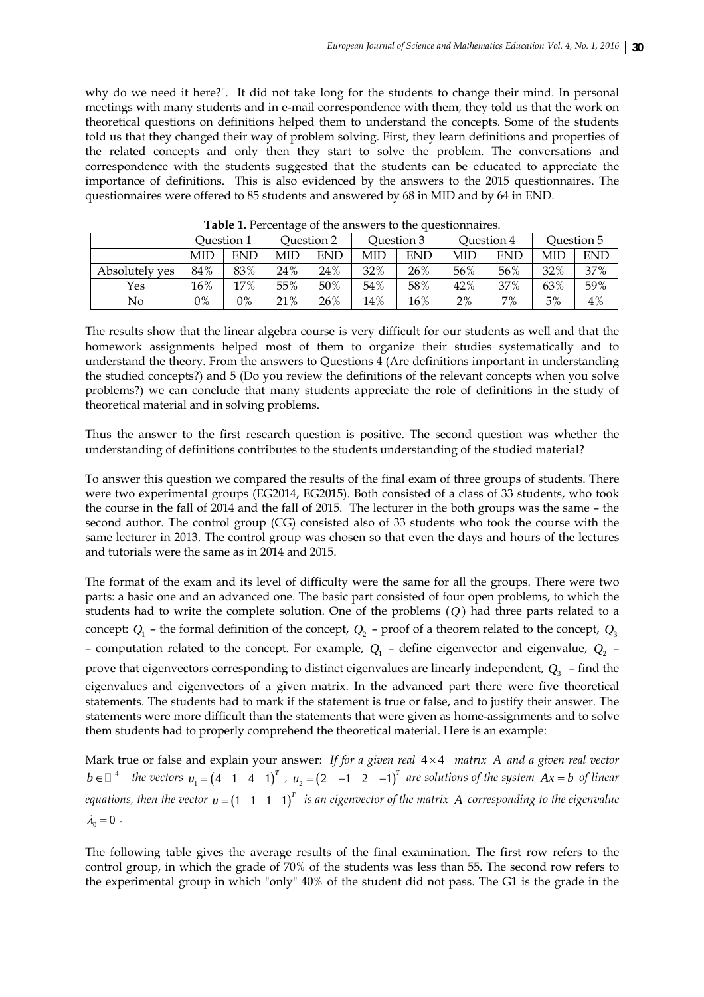why do we need it here?". It did not take long for the students to change their mind. In personal meetings with many students and in e-mail correspondence with them, they told us that the work on theoretical questions on definitions helped them to understand the concepts. Some of the students told us that they changed their way of problem solving. First, they learn definitions and properties of the related concepts and only then they start to solve the problem. The conversations and correspondence with the students suggested that the students can be educated to appreciate the importance of definitions. This is also evidenced by the answers to the 2015 questionnaires. The questionnaires were offered to 85 students and answered by 68 in MID and by 64 in END.

|                | Ouestion 1 |     | Question 2 |     | Ouestion 3 |     | Ouestion 4 |            | Question 5 |            |
|----------------|------------|-----|------------|-----|------------|-----|------------|------------|------------|------------|
|                | MID        | END | MID        | END | MID        | END | MID        | <b>END</b> | MID        | <b>END</b> |
| Absolutely yes | 84%        | 83% | 24%        | 24% | 32%        | 26% | 56%        | 56%        | 32%        | 37%        |
| Yes            | 16%        | 17% | 55%        | 50% | 54%        | 58% | 42%        | 37%        | 63%        | 59%        |
| No             | 0%         | 0%  | 21%        | 26% | 14%        | 16% | $2\%$      | 7%         | 5%         | 4%         |

**Table 1.** Percentage of the answers to the questionnaires.

The results show that the linear algebra course is very difficult for our students as well and that the homework assignments helped most of them to organize their studies systematically and to understand the theory. From the answers to Questions 4 (Are definitions important in understanding the studied concepts?) and 5 (Do you review the definitions of the relevant concepts when you solve problems?) we can conclude that many students appreciate the role of definitions in the study of theoretical material and in solving problems.

Thus the answer to the first research question is positive. The second question was whether the understanding of definitions contributes to the students understanding of the studied material?

To answer this question we compared the results of the final exam of three groups of students. There were two experimental groups (EG2014, EG2015). Both consisted of a class of 33 students, who took the course in the fall of 2014 and the fall of 2015. The lecturer in the both groups was the same – the second author. The control group (CG) consisted also of 33 students who took the course with the same lecturer in 2013. The control group was chosen so that even the days and hours of the lectures and tutorials were the same as in 2014 and 2015.

The format of the exam and its level of difficulty were the same for all the groups. There were two parts: a basic one and an advanced one. The basic part consisted of four open problems, to which the students had to write the complete solution. One of the problems (*Q* ) had three parts related to a concept:  $Q_1$  – the formal definition of the concept,  $Q_2$  – proof of a theorem related to the concept,  $Q_3$ – computation related to the concept. For example,  $Q_1$  – define eigenvector and eigenvalue,  $Q_2$  – prove that eigenvectors corresponding to distinct eigenvalues are linearly independent,  $Q_3$  – find the eigenvalues and eigenvectors of a given matrix. In the advanced part there were five theoretical statements. The students had to mark if the statement is true or false, and to justify their answer. The statements were more difficult than the statements that were given as home-assignments and to solve them students had to properly comprehend the theoretical material. Here is an example:

Mark true or false and explain your answer: *If for a given real*  $4 \times 4$  *matrix A and a given real vector*  $b ∈ □<sup>4</sup>$  *the vectors*  $u_1 = (4 \t1 \t4 \t1)<sup>T</sup>$ ,  $u_2 = (2 \t-1 \t2 \t-1)<sup>T</sup>$  are solutions of the system  $Ax = b$  of linear *equations, then the vector*  $u = \begin{pmatrix} 1 & 1 & 1 & 1 \end{pmatrix}^T$  *is an eigenvector of the matrix A corresponding to the eigenvalue*  $\lambda_0 = 0$ .

The following table gives the average results of the final examination. The first row refers to the control group, in which the grade of 70% of the students was less than 55. The second row refers to the experimental group in which "only" 40% of the student did not pass. The G1 is the grade in the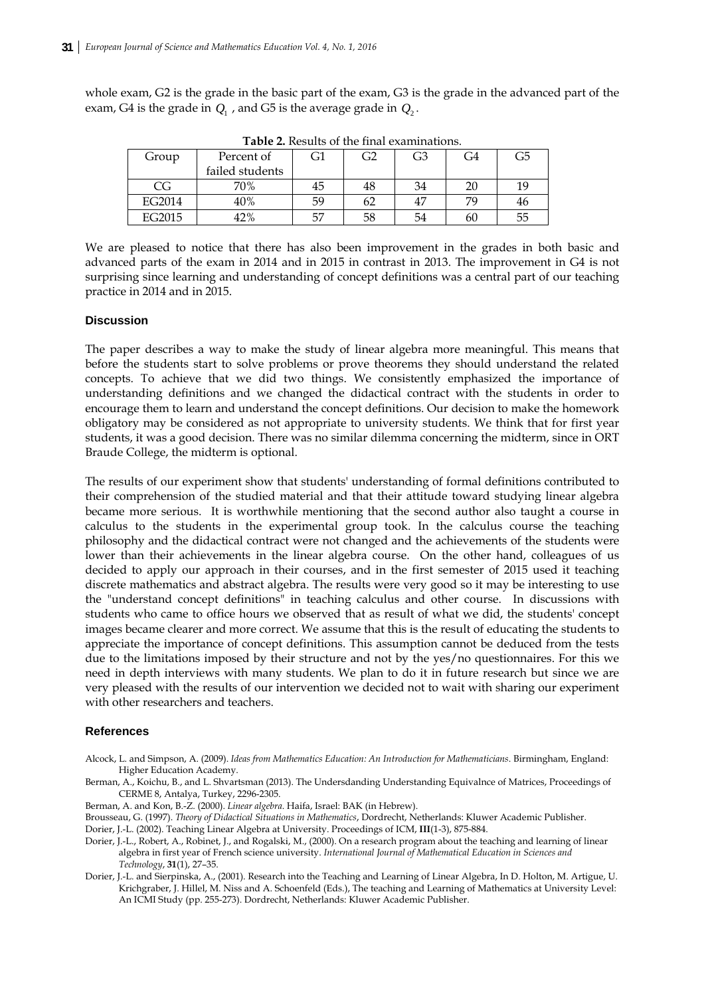whole exam, G2 is the grade in the basic part of the exam, G3 is the grade in the advanced part of the exam, G4 is the grade in  $Q_1$ , and G5 is the average grade in  $Q_2$ .

| <b>THERE E</b> RODGED OF THE HERE CARRIED MOTOR. |                 |    |                |    |    |    |  |  |  |  |  |
|--------------------------------------------------|-----------------|----|----------------|----|----|----|--|--|--|--|--|
| Group                                            | Percent of      | G1 | G <sub>2</sub> | G3 | G4 | G5 |  |  |  |  |  |
|                                                  | failed students |    |                |    |    |    |  |  |  |  |  |
| CG                                               | 70%             | 45 | 48             | 34 |    | 19 |  |  |  |  |  |
| EG2014                                           | 40%             | 59 | 62             | 47 |    | 46 |  |  |  |  |  |
| EG2015                                           | 42%             | 57 | 58             | 54 | 60 | 55 |  |  |  |  |  |

**Table 2.** Results of the final examinations.

We are pleased to notice that there has also been improvement in the grades in both basic and advanced parts of the exam in 2014 and in 2015 in contrast in 2013. The improvement in G4 is not surprising since learning and understanding of concept definitions was a central part of our teaching practice in 2014 and in 2015.

#### **Discussion**

The paper describes a way to make the study of linear algebra more meaningful. This means that before the students start to solve problems or prove theorems they should understand the related concepts. To achieve that we did two things. We consistently emphasized the importance of understanding definitions and we changed the didactical contract with the students in order to encourage them to learn and understand the concept definitions. Our decision to make the homework obligatory may be considered as not appropriate to university students. We think that for first year students, it was a good decision. There was no similar dilemma concerning the midterm, since in ORT Braude College, the midterm is optional.

The results of our experiment show that students' understanding of formal definitions contributed to their comprehension of the studied material and that their attitude toward studying linear algebra became more serious. It is worthwhile mentioning that the second author also taught a course in calculus to the students in the experimental group took. In the calculus course the teaching philosophy and the didactical contract were not changed and the achievements of the students were lower than their achievements in the linear algebra course. On the other hand, colleagues of us decided to apply our approach in their courses, and in the first semester of 2015 used it teaching discrete mathematics and abstract algebra. The results were very good so it may be interesting to use the "understand concept definitions" in teaching calculus and other course. In discussions with students who came to office hours we observed that as result of what we did, the students' concept images became clearer and more correct. We assume that this is the result of educating the students to appreciate the importance of concept definitions. This assumption cannot be deduced from the tests due to the limitations imposed by their structure and not by the yes/no questionnaires. For this we need in depth interviews with many students. We plan to do it in future research but since we are very pleased with the results of our intervention we decided not to wait with sharing our experiment with other researchers and teachers.

#### **References**

- Alcock, L. and Simpson, A. (2009). *Ideas from Mathematics Education: An Introduction for Mathematicians*. Birmingham, England: Higher Education Academy.
- Berman, A., Koichu, B., and L. Shvartsman (2013). The Undersdanding Understanding Equivalnce of Matrices, Proceedings of CERME 8, Antalya, Turkey, 2296-2305.
- Berman, A. and Kon, B.-Z. (2000). *Linear algebra*. Haifa, Israel: BAK (in Hebrew).
- Brousseau, G. (1997). *Theory of Didactical Situations in Mathematics*, Dordrecht, Netherlands: Kluwer Academic Publisher. Dorier, J.-L. (2002). Teaching Linear Algebra at University. Proceedings of ICM, **III**(1-3), 875-884.
- Dorier, J.-L., Robert, A., Robinet, J., and Rogalski, M., (2000). On a research program about the teaching and learning of linear algebra in first year of French science university. *International Journal of Mathematical Education in Sciences and Technology*, **31**(1), 27–35.
- Dorier, J.-L. and Sierpinska, A., (2001). Research into the Teaching and Learning of Linear Algebra, In D. Holton, M. Artigue, U. Krichgraber, J. Hillel, M. Niss and A. Schoenfeld (Eds.), The teaching and Learning of Mathematics at University Level: An ICMI Study (pp. 255-273). Dordrecht, Netherlands: Kluwer Academic Publisher.